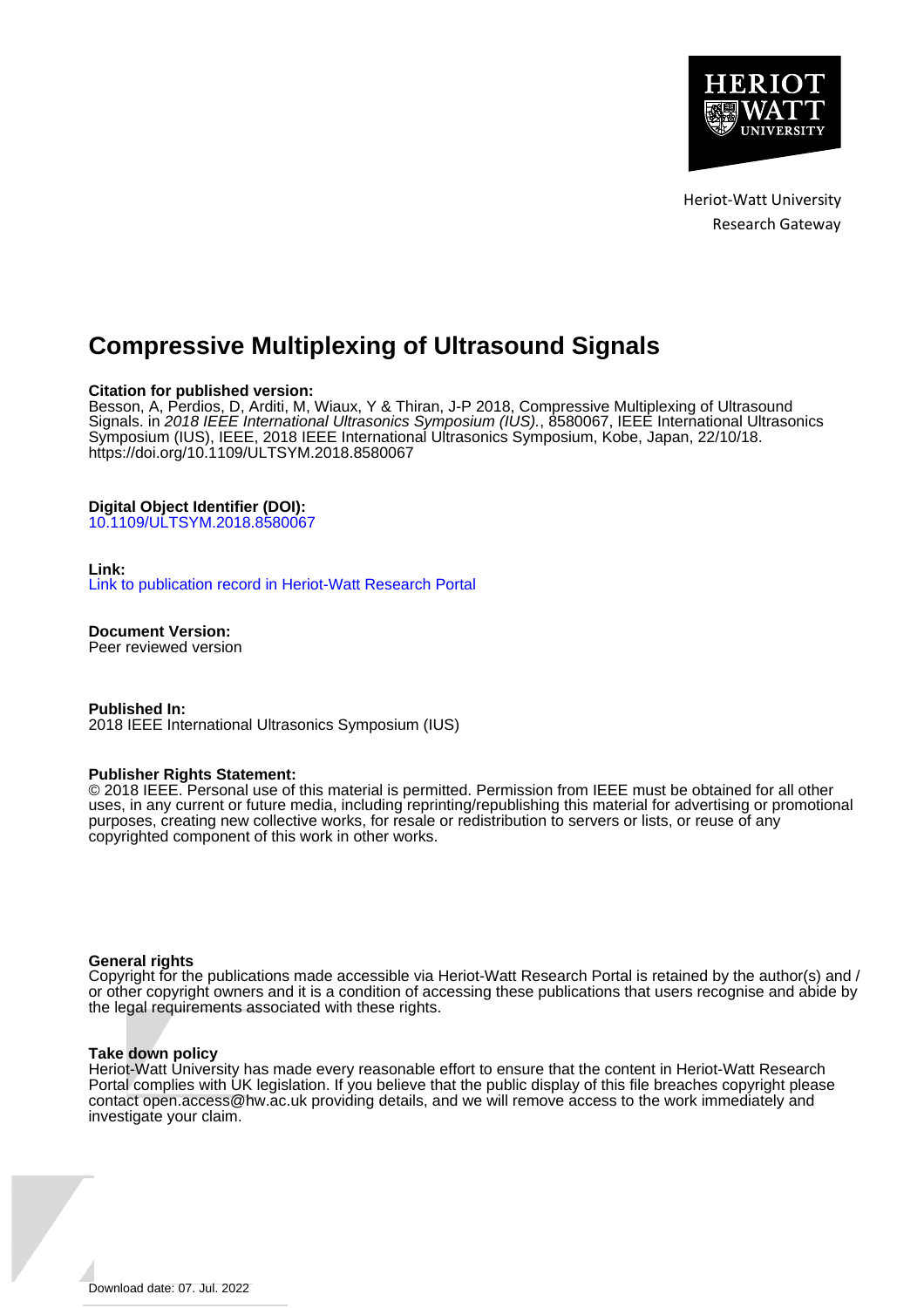

Heriot-Watt University Research Gateway

## **Compressive Multiplexing of Ultrasound Signals**

## **Citation for published version:**

Besson, A, Perdios, D, Arditi, M, Wiaux, Y & Thiran, J-P 2018, Compressive Multiplexing of Ultrasound Signals. in 2018 IEEE International Ultrasonics Symposium (IUS)., 8580067, IEEE International Ultrasonics Symposium (IUS), IEEE, 2018 IEEE International Ultrasonics Symposium, Kobe, Japan, 22/10/18. <https://doi.org/10.1109/ULTSYM.2018.8580067>

## **Digital Object Identifier (DOI):**

[10.1109/ULTSYM.2018.8580067](https://doi.org/10.1109/ULTSYM.2018.8580067)

## **Link:**

[Link to publication record in Heriot-Watt Research Portal](https://researchportal.hw.ac.uk/en/publications/4de6abe1-2045-498d-af89-4d56d6935c8b)

**Document Version:**

Peer reviewed version

**Published In:** 2018 IEEE International Ultrasonics Symposium (IUS)

## **Publisher Rights Statement:**

© 2018 IEEE. Personal use of this material is permitted. Permission from IEEE must be obtained for all other uses, in any current or future media, including reprinting/republishing this material for advertising or promotional purposes, creating new collective works, for resale or redistribution to servers or lists, or reuse of any copyrighted component of this work in other works.

## **General rights**

Copyright for the publications made accessible via Heriot-Watt Research Portal is retained by the author(s) and / or other copyright owners and it is a condition of accessing these publications that users recognise and abide by the legal requirements associated with these rights.

## **Take down policy**

Heriot-Watt University has made every reasonable effort to ensure that the content in Heriot-Watt Research Portal complies with UK legislation. If you believe that the public display of this file breaches copyright please contact open.access@hw.ac.uk providing details, and we will remove access to the work immediately and investigate your claim.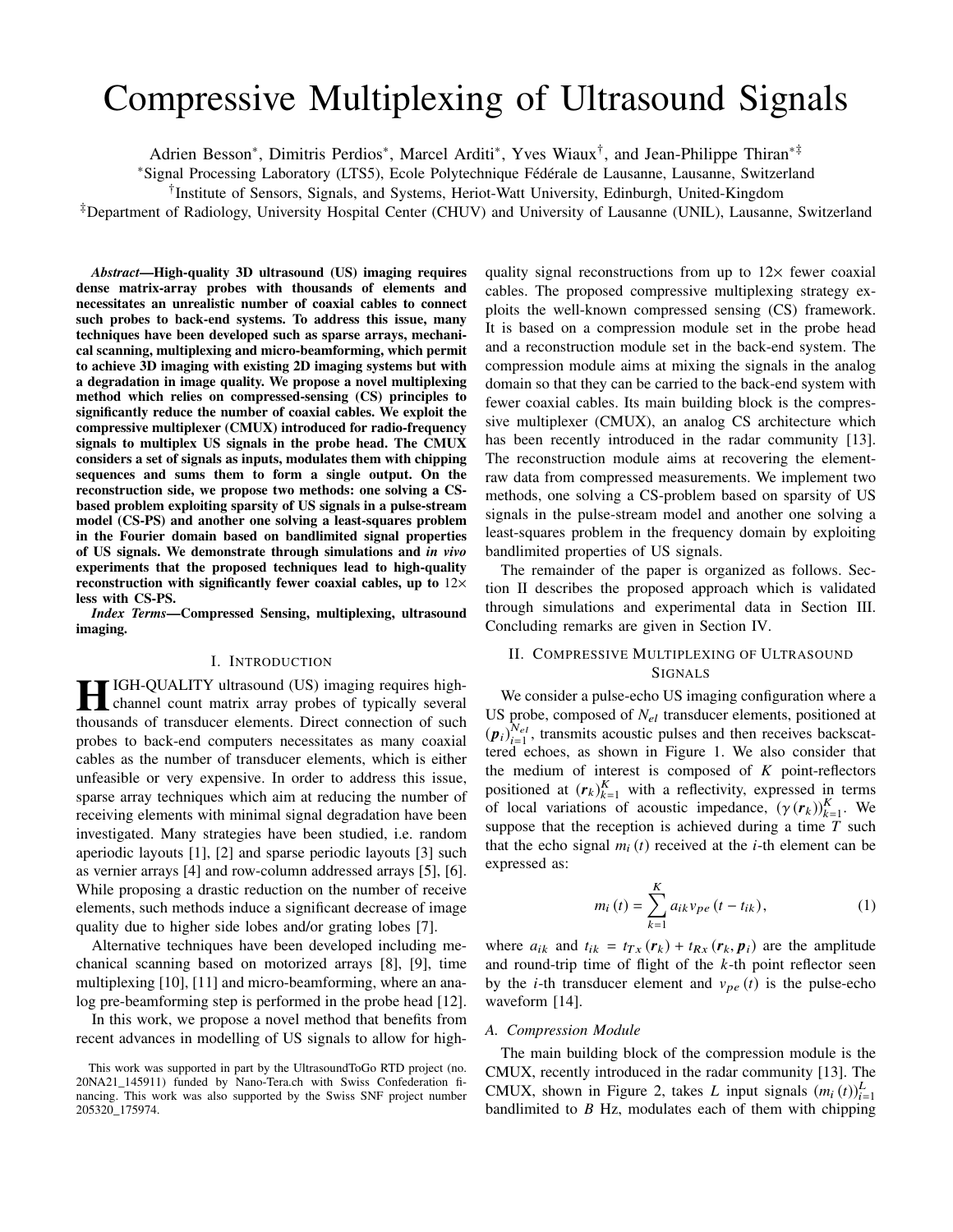# Compressive Multiplexing of Ultrasound Signals

Adrien Besson∗, Dimitris Perdios∗, Marcel Arditi∗, Yves Wiaux†, and Jean-Philippe Thiran∗‡

<sup>∗</sup>Signal Processing Laboratory (LTS5), Ecole Polytechnique Fédérale de Lausanne, Lausanne, Switzerland

†Institute of Sensors, Signals, and Systems, Heriot-Watt University, Edinburgh, United-Kingdom

‡Department of Radiology, University Hospital Center (CHUV) and University of Lausanne (UNIL), Lausanne, Switzerland

*Abstract*—High-quality 3D ultrasound (US) imaging requires dense matrix-array probes with thousands of elements and necessitates an unrealistic number of coaxial cables to connect such probes to back-end systems. To address this issue, many techniques have been developed such as sparse arrays, mechanical scanning, multiplexing and micro-beamforming, which permit to achieve 3D imaging with existing 2D imaging systems but with a degradation in image quality. We propose a novel multiplexing method which relies on compressed-sensing (CS) principles to significantly reduce the number of coaxial cables. We exploit the compressive multiplexer (CMUX) introduced for radio-frequency signals to multiplex US signals in the probe head. The CMUX considers a set of signals as inputs, modulates them with chipping sequences and sums them to form a single output. On the reconstruction side, we propose two methods: one solving a CSbased problem exploiting sparsity of US signals in a pulse-stream model (CS-PS) and another one solving a least-squares problem in the Fourier domain based on bandlimited signal properties of US signals. We demonstrate through simulations and *in vivo* experiments that the proposed techniques lead to high-quality reconstruction with significantly fewer coaxial cables, up to  $12\times$ less with CS-PS.

*Index Terms*—Compressed Sensing, multiplexing, ultrasound imaging.

#### I. INTRODUCTION

**HIGH-QUALITY ultrasound (US) imaging requires high-**<br>channel count matrix channel count matrix array probes of typically several thousands of transducer elements. Direct connection of such probes to back-end computers necessitates as many coaxial cables as the number of transducer elements, which is either unfeasible or very expensive. In order to address this issue, sparse array techniques which aim at reducing the number of receiving elements with minimal signal degradation have been investigated. Many strategies have been studied, i.e. random aperiodic layouts [1], [2] and sparse periodic layouts [3] such as vernier arrays [4] and row-column addressed arrays [5], [6]. While proposing a drastic reduction on the number of receive elements, such methods induce a significant decrease of image quality due to higher side lobes and/or grating lobes [7].

Alternative techniques have been developed including mechanical scanning based on motorized arrays [8], [9], time multiplexing [10], [11] and micro-beamforming, where an analog pre-beamforming step is performed in the probe head [12].

In this work, we propose a novel method that benefits from recent advances in modelling of US signals to allow for highquality signal reconstructions from up to  $12\times$  fewer coaxial cables. The proposed compressive multiplexing strategy exploits the well-known compressed sensing (CS) framework. It is based on a compression module set in the probe head and a reconstruction module set in the back-end system. The compression module aims at mixing the signals in the analog domain so that they can be carried to the back-end system with fewer coaxial cables. Its main building block is the compressive multiplexer (CMUX), an analog CS architecture which has been recently introduced in the radar community [13]. The reconstruction module aims at recovering the elementraw data from compressed measurements. We implement two methods, one solving a CS-problem based on sparsity of US signals in the pulse-stream model and another one solving a least-squares problem in the frequency domain by exploiting bandlimited properties of US signals.

The remainder of the paper is organized as follows. Section II describes the proposed approach which is validated through simulations and experimental data in Section III. Concluding remarks are given in Section IV.

## II. COMPRESSIVE MULTIPLEXING OF ULTRASOUND SIGNALS

We consider a pulse-echo US imaging configuration where a US probe, composed of  $N_{el}$  transducer elements, positioned at  $(p_i)_{i=1}^{N_{el}}$ , transmits acoustic pulses and then receives backscat-<br>tered echoes as shown in Figure 1. We also consider that tered echoes, as shown in Figure 1. We also consider that the medium of interest is composed of *K* point-reflectors positioned at  $(r_k)_{k=1}^K$  with a reflectivity, expressed in terms<br>of local variations of acquisite impedance  $(\gamma(r_k))_{k=1}^K$  We of local variations of acoustic impedance,  $(\gamma(\mathbf{r}_k))_{k=1}^K$ . We suppose that the reception is achieved during a time T such suppose that the reception is achieved during a time *T* such that the echo signal  $m_i(t)$  received at the *i*-th element can be expressed as:

$$
m_i(t) = \sum_{k=1}^{K} a_{ik} v_{pe} (t - t_{ik}),
$$
 (1)

where  $a_{ik}$  and  $t_{ik} = t_{Tx}$  ( $r_k$ ) +  $t_{Rx}$  ( $r_k$ ,  $p_i$ ) are the amplitude and round-trip time of flight of the *k*-th point reflector seen by the *i*-th transducer element and  $v_{pe}(t)$  is the pulse-echo waveform [14].

#### *A. Compression Module*

The main building block of the compression module is the CMUX, recently introduced in the radar community [13]. The CMUX, shown in Figure 2, takes *L* input signals  $(m_i(t))_{i=1}^L$ CMUX, shown in Figure 2, takes L input signals  $(m_i(t))_{i=1}^{\infty}$ <br>bandlimited to B Hz, modulates each of them with chipping

This work was supported in part by the UltrasoundToGo RTD project (no. 20NA21\_145911) funded by Nano-Tera.ch with Swiss Confederation financing. This work was also supported by the Swiss SNF project number 205320\_175974.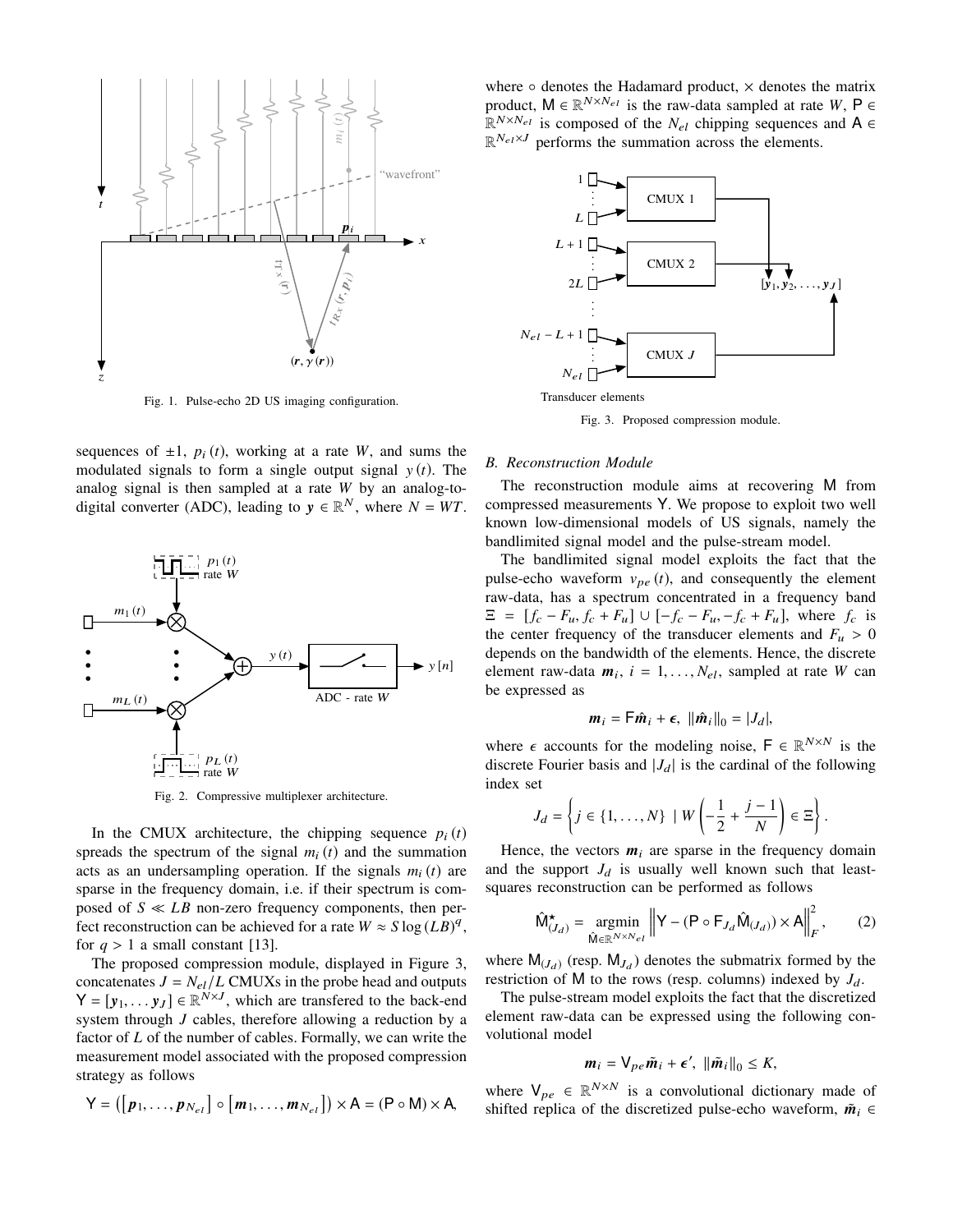

Fig. 1. Pulse-echo 2D US imaging configuration.

sequences of  $\pm 1$ ,  $p_i(t)$ , working at a rate *W*, and sums the modulated signals to form a single output signal  $y(t)$ . The analog signal is then sampled at a rate *W* by an analog-todigital converter (ADC), leading to  $y \in \mathbb{R}^N$ , where  $N = WT$ .



Fig. 2. Compressive multiplexer architecture.

In the CMUX architecture, the chipping sequence  $p_i(t)$ spreads the spectrum of the signal  $m_i(t)$  and the summation acts as an undersampling operation. If the signals  $m_i(t)$  are sparse in the frequency domain, i.e. if their spectrum is composed of  $S \ll LB$  non-zero frequency components, then perfect reconstruction can be achieved for a rate  $W \approx S \log(LB)^q$ , for  $q > 1$  a small constant [13].

The proposed compression module, displayed in Figure 3, concatenates  $J = N_{el}/L$  CMUXs in the probe head and outputs  $Y = [y_1, \dots y_J] \in \mathbb{R}^{N \times J}$ , which are transfered to the back-end system through *J* cables, therefore allowing a reduction by a factor of *L* of the number of cables. Formally, we can write the measurement model associated with the proposed compression strategy as follows

$$
Y = ([p_1, \ldots, p_{N_{el}}] \circ [m_1, \ldots, m_{N_{el}}]) \times A = (P \circ M) \times A,
$$

where  $\circ$  denotes the Hadamard product,  $\times$  denotes the matrix product,  $M \in \mathbb{R}^{N \times N_{el}}$  is the raw-data sampled at rate *W*,  $P \in$  $\mathbb{R}^{N \times N_{el}}$  is composed of the *N<sub>el</sub>* chipping sequences and **A** ∈  $\mathbb{R}^{N_{el} \times J}$  performs the summation across the elements.



Fig. 3. Proposed compression module.

#### *B. Reconstruction Module*

The reconstruction module aims at recovering M from compressed measurements Y. We propose to exploit two well known low-dimensional models of US signals, namely the bandlimited signal model and the pulse-stream model.

The bandlimited signal model exploits the fact that the pulse-echo waveform  $v_{pe}(t)$ , and consequently the element raw-data, has a spectrum concentrated in a frequency band  $\Xi = [f_c - F_u, f_c + F_u] \cup [-f_c - F_u, -f_c + F_u]$ , where  $f_c$  is the center frequency of the transducer elements and  $F_u > 0$ depends on the bandwidth of the elements. Hence, the discrete element raw-data  $m_i$ ,  $i = 1, ..., N_{el}$ , sampled at rate *W* can be expressed as

$$
\boldsymbol{m}_i = \boldsymbol{\mathsf{F}} \hat{\boldsymbol{m}}_i + \boldsymbol{\epsilon}, \ \|\hat{\boldsymbol{m}}_i\|_0 = |J_d|,
$$

where  $\epsilon$  accounts for the modeling noise,  $F \in \mathbb{R}^{N \times N}$  is the discrete Fourier basis and  $|J_d|$  is the cardinal of the following index set

$$
J_d = \left\{ j \in \{1, \ldots, N\} \mid W\left(-\frac{1}{2} + \frac{j-1}{N}\right) \in \Xi \right\}.
$$

Hence, the vectors  $m_i$  are sparse in the frequency domain and the support  $J_d$  is usually well known such that leastsquares reconstruction can be performed as follows

$$
\widehat{\mathsf{M}}_{(J_d)}^{\star} = \underset{\widehat{\mathsf{M}} \in \mathbb{R}^{N \times N_{el}}}{\text{argmin}} \left\| \mathsf{Y} - (\mathsf{P} \circ \mathsf{F}_{J_d} \widehat{\mathsf{M}}_{(J_d)}) \times \mathsf{A} \right\|_F^2, \qquad (2)
$$

where  $M_{(J_d)}$  (resp.  $M_{J_d}$ ) denotes the submatrix formed by the restriction of M to the rows (resp. columns) indexed by  $J_d$ .

The pulse-stream model exploits the fact that the discretized element raw-data can be expressed using the following convolutional model

$$
\boldsymbol{m}_i = \mathsf{V}_{pe}\tilde{\boldsymbol{m}}_i + \boldsymbol{\epsilon}', \, \left\|\tilde{\boldsymbol{m}}_i\right\|_0 \leq K,
$$

where  $V_{pe} \in \mathbb{R}^{N \times N}$  is a convolutional dictionary made of shifted replica of the discretized pulse-echo waveform,  $\tilde{m}_i \in$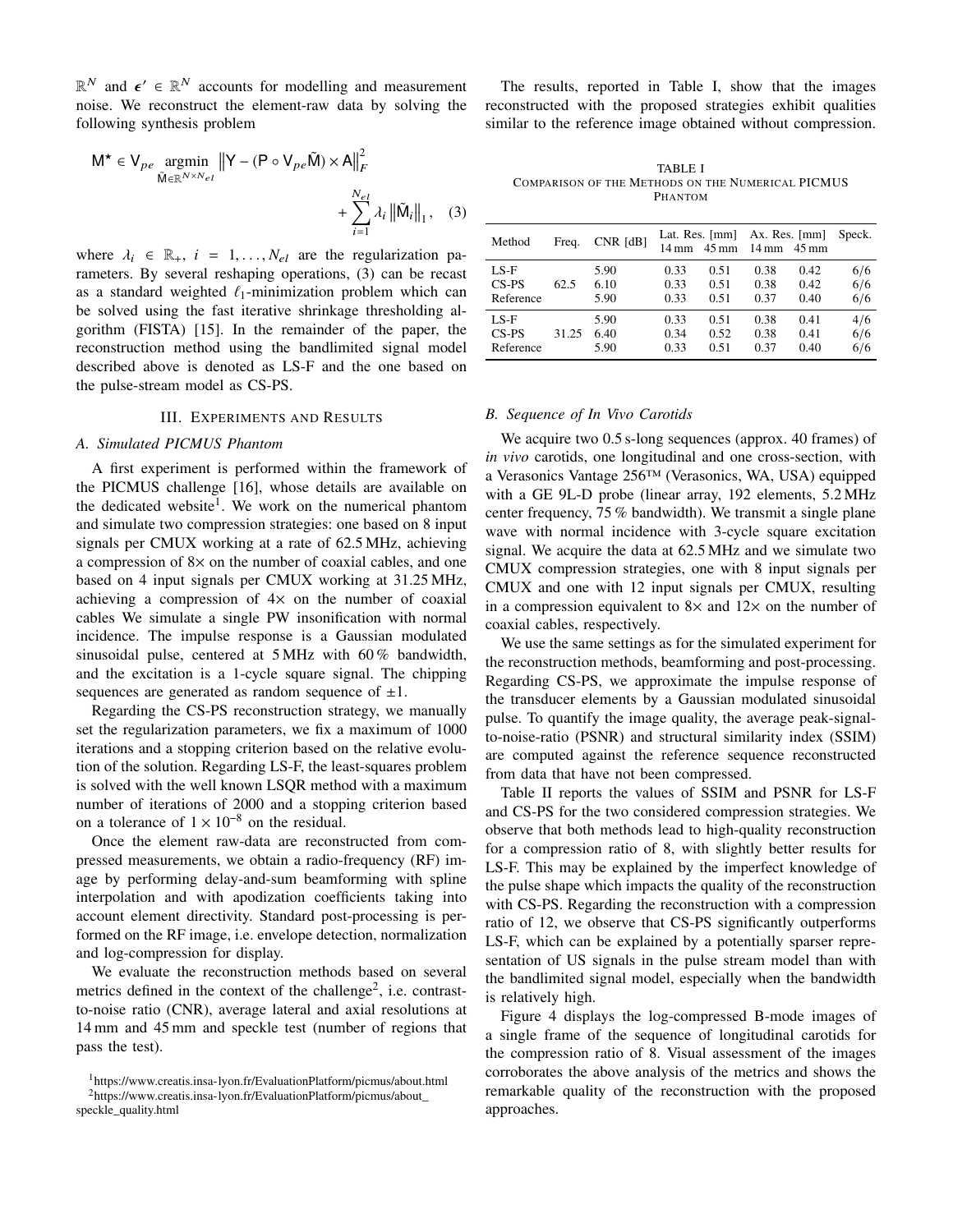$\mathbb{R}^N$  and  $\epsilon' \in \mathbb{R}^N$  accounts for modelling and measurement noise. We reconstruct the element-raw data by solving the following synthesis problem

$$
\mathsf{M}^{\star} \in \mathsf{V}_{pe} \underset{\tilde{\mathsf{M}} \in \mathbb{R}^{N \times N_{el}}}{\text{argmin}} \|\mathsf{Y} - (\mathsf{P} \circ \mathsf{V}_{pe} \tilde{\mathsf{M}}) \times \mathsf{A}\|_{F}^{2} + \sum_{i=1}^{N_{el}} \lambda_{i} \|\tilde{\mathsf{M}}_{i}\|_{1}, \quad (3)
$$

where  $\lambda_i \in \mathbb{R}_+$ ,  $i = 1, \ldots, N_{el}$  are the regularization parameters. By several reshaping operations, (3) can be recast as a standard weighted  $\ell_1$ -minimization problem which can be solved using the fast iterative shrinkage thresholding algorithm (FISTA) [15]. In the remainder of the paper, the reconstruction method using the bandlimited signal model described above is denoted as LS-F and the one based on the pulse-stream model as CS-PS.

#### III. EXPERIMENTS AND RESULTS

#### *A. Simulated PICMUS Phantom*

A first experiment is performed within the framework of the PICMUS challenge [16], whose details are available on the dedicated website<sup>1</sup>. We work on the numerical phantom and simulate two compression strategies: one based on 8 input signals per CMUX working at a rate of 62.5 MHz, achieving a compression of 8<sup>×</sup> on the number of coaxial cables, and one based on 4 input signals per CMUX working at 31.25 MHz, achieving a compression of  $4\times$  on the number of coaxial cables We simulate a single PW insonification with normal incidence. The impulse response is a Gaussian modulated sinusoidal pulse, centered at 5 MHz with 60 % bandwidth, and the excitation is a 1-cycle square signal. The chipping sequences are generated as random sequence of  $\pm 1$ .

Regarding the CS-PS reconstruction strategy, we manually set the regularization parameters, we fix a maximum of 1000 iterations and a stopping criterion based on the relative evolution of the solution. Regarding LS-F, the least-squares problem is solved with the well known LSQR method with a maximum number of iterations of 2000 and a stopping criterion based on a tolerance of  $1 \times 10^{-8}$  on the residual.

Once the element raw-data are reconstructed from compressed measurements, we obtain a radio-frequency (RF) image by performing delay-and-sum beamforming with spline interpolation and with apodization coefficients taking into account element directivity. Standard post-processing is performed on the RF image, i.e. envelope detection, normalization and log-compression for display.

We evaluate the reconstruction methods based on several metrics defined in the context of the challenge<sup>2</sup>, i.e. contrastto-noise ratio (CNR), average lateral and axial resolutions at 14 mm and 45 mm and speckle test (number of regions that pass the test).

The results, reported in Table I, show that the images reconstructed with the proposed strategies exhibit qualities similar to the reference image obtained without compression.

TABLE I COMPARISON OF THE METHODS ON THE NUMERICAL PICMUS PHANTOM

| Method    | Freq. | $CNR$ [dB] | 14 mm | Lat. Res. [mm]<br>$45 \,\mathrm{mm}$ | Ax. Res. $\lceil mm \rceil$<br>$14 \text{ mm}$ 45 mm |      | Speck. |
|-----------|-------|------------|-------|--------------------------------------|------------------------------------------------------|------|--------|
| LS-F      | 62.5  | 5.90       | 0.33  | 0.51                                 | 0.38                                                 | 0.42 | 6/6    |
| $CS-PS$   |       | 6.10       | 0.33  | 0.51                                 | 0.38                                                 | 0.42 | 6/6    |
| Reference |       | 5.90       | 0.33  | 0.51                                 | 0.37                                                 | 0.40 | 6/6    |
| LS-F      | 31.25 | 5.90       | 0.33  | 0.51                                 | 0.38                                                 | 0.41 | 4/6    |
| $CS-PS$   |       | 6.40       | 0.34  | 0.52                                 | 0.38                                                 | 0.41 | 6/6    |
| Reference |       | 5.90       | 0.33  | 0.51                                 | 0.37                                                 | 0.40 | 6/6    |

#### *B. Sequence of In Vivo Carotids*

We acquire two 0.5 s-long sequences (approx. 40 frames) of *in vivo* carotids, one longitudinal and one cross-section, with a Verasonics Vantage 256™ (Verasonics, WA, USA) equipped with a GE 9L-D probe (linear array, 192 elements, 5.2 MHz center frequency, 75 % bandwidth). We transmit a single plane wave with normal incidence with 3-cycle square excitation signal. We acquire the data at 62.5 MHz and we simulate two CMUX compression strategies, one with 8 input signals per CMUX and one with 12 input signals per CMUX, resulting in a compression equivalent to  $8 \times$  and  $12 \times$  on the number of coaxial cables, respectively.

We use the same settings as for the simulated experiment for the reconstruction methods, beamforming and post-processing. Regarding CS-PS, we approximate the impulse response of the transducer elements by a Gaussian modulated sinusoidal pulse. To quantify the image quality, the average peak-signalto-noise-ratio (PSNR) and structural similarity index (SSIM) are computed against the reference sequence reconstructed from data that have not been compressed.

Table II reports the values of SSIM and PSNR for LS-F and CS-PS for the two considered compression strategies. We observe that both methods lead to high-quality reconstruction for a compression ratio of 8, with slightly better results for LS-F. This may be explained by the imperfect knowledge of the pulse shape which impacts the quality of the reconstruction with CS-PS. Regarding the reconstruction with a compression ratio of 12, we observe that CS-PS significantly outperforms LS-F, which can be explained by a potentially sparser representation of US signals in the pulse stream model than with the bandlimited signal model, especially when the bandwidth is relatively high.

Figure 4 displays the log-compressed B-mode images of a single frame of the sequence of longitudinal carotids for the compression ratio of 8. Visual assessment of the images corroborates the above analysis of the metrics and shows the remarkable quality of the reconstruction with the proposed approaches.

<sup>1</sup>https://www.creatis.insa-lyon.fr/EvaluationPlatform/picmus/about.html 2https://www.creatis.insa-lyon.fr/EvaluationPlatform/picmus/about\_ speckle\_quality.html